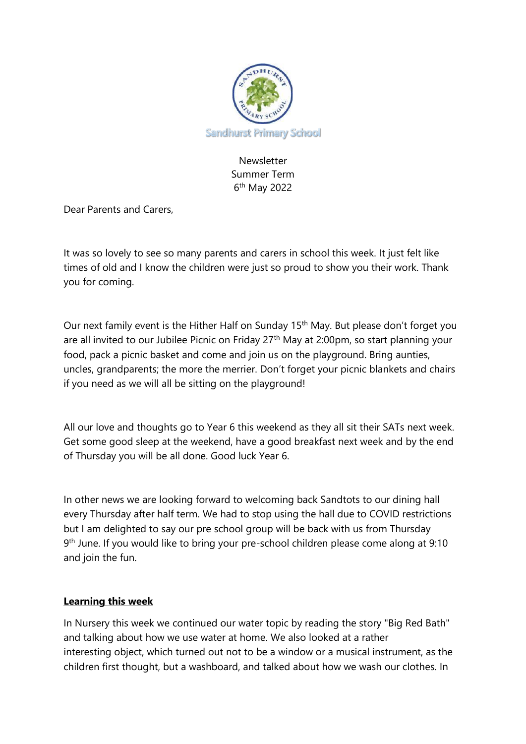

Newsletter Summer Term 6 th May 2022

Dear Parents and Carers,

It was so lovely to see so many parents and carers in school this week. It just felt like times of old and I know the children were just so proud to show you their work. Thank you for coming.

Our next family event is the Hither Half on Sunday 15th May. But please don't forget you are all invited to our Jubilee Picnic on Friday 27<sup>th</sup> May at 2:00pm, so start planning your food, pack a picnic basket and come and join us on the playground. Bring aunties, uncles, grandparents; the more the merrier. Don't forget your picnic blankets and chairs if you need as we will all be sitting on the playground!

All our love and thoughts go to Year 6 this weekend as they all sit their SATs next week. Get some good sleep at the weekend, have a good breakfast next week and by the end of Thursday you will be all done. Good luck Year 6.

In other news we are looking forward to welcoming back Sandtots to our dining hall every Thursday after half term. We had to stop using the hall due to COVID restrictions but I am delighted to say our pre school group will be back with us from Thursday 9<sup>th</sup> June. If you would like to bring your pre-school children please come along at 9:10 and join the fun.

## **Learning this week**

In Nursery this week we continued our water topic by reading the story "Big Red Bath" and talking about how we use water at home. We also looked at a rather interesting object, which turned out not to be a window or a musical instrument, as the children first thought, but a washboard, and talked about how we wash our clothes. In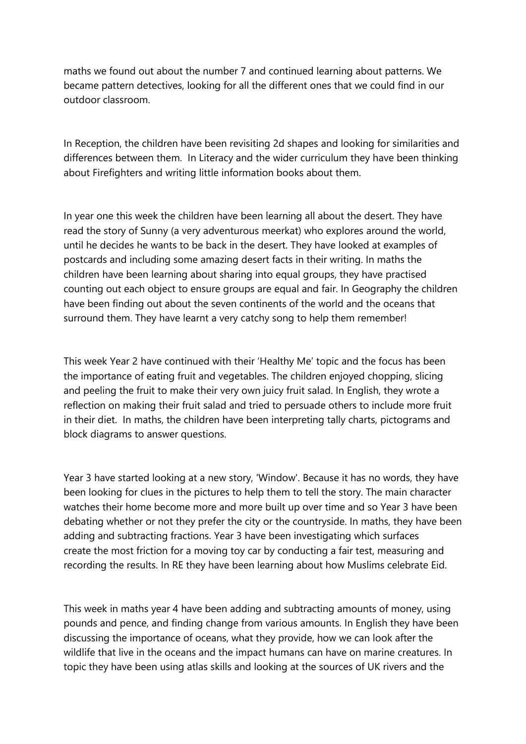maths we found out about the number 7 and continued learning about patterns. We became pattern detectives, looking for all the different ones that we could find in our outdoor classroom.

In Reception, the children have been revisiting 2d shapes and looking for similarities and differences between them. In Literacy and the wider curriculum they have been thinking about Firefighters and writing little information books about them.

In year one this week the children have been learning all about the desert. They have read the story of Sunny (a very adventurous meerkat) who explores around the world, until he decides he wants to be back in the desert. They have looked at examples of postcards and including some amazing desert facts in their writing. In maths the children have been learning about sharing into equal groups, they have practised counting out each object to ensure groups are equal and fair. In Geography the children have been finding out about the seven continents of the world and the oceans that surround them. They have learnt a very catchy song to help them remember!

This week Year 2 have continued with their 'Healthy Me' topic and the focus has been the importance of eating fruit and vegetables. The children enjoyed chopping, slicing and peeling the fruit to make their very own juicy fruit salad. In English, they wrote a reflection on making their fruit salad and tried to persuade others to include more fruit in their diet. In maths, the children have been interpreting tally charts, pictograms and block diagrams to answer questions.

Year 3 have started looking at a new story, 'Window'. Because it has no words, they have been looking for clues in the pictures to help them to tell the story. The main character watches their home become more and more built up over time and so Year 3 have been debating whether or not they prefer the city or the countryside. In maths, they have been adding and subtracting fractions. Year 3 have been investigating which surfaces create the most friction for a moving toy car by conducting a fair test, measuring and recording the results. In RE they have been learning about how Muslims celebrate Eid.

This week in maths year 4 have been adding and subtracting amounts of money, using pounds and pence, and finding change from various amounts. In English they have been discussing the importance of oceans, what they provide, how we can look after the wildlife that live in the oceans and the impact humans can have on marine creatures. In topic they have been using atlas skills and looking at the sources of UK rivers and the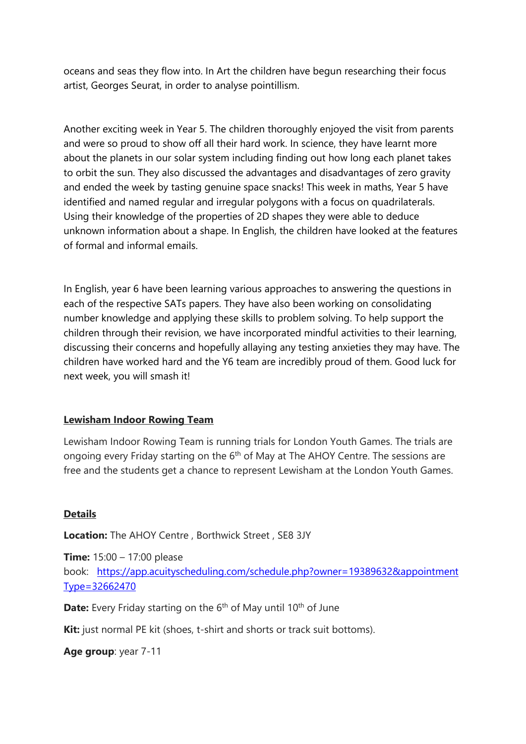oceans and seas they flow into. In Art the children have begun researching their focus artist, Georges Seurat, in order to analyse pointillism.

Another exciting week in Year 5. The children thoroughly enjoyed the visit from parents and were so proud to show off all their hard work. In science, they have learnt more about the planets in our solar system including finding out how long each planet takes to orbit the sun. They also discussed the advantages and disadvantages of zero gravity and ended the week by tasting genuine space snacks! This week in maths, Year 5 have identified and named regular and irregular polygons with a focus on quadrilaterals. Using their knowledge of the properties of 2D shapes they were able to deduce unknown information about a shape. In English, the children have looked at the features of formal and informal emails.

In English, year 6 have been learning various approaches to answering the questions in each of the respective SATs papers. They have also been working on consolidating number knowledge and applying these skills to problem solving. To help support the children through their revision, we have incorporated mindful activities to their learning, discussing their concerns and hopefully allaying any testing anxieties they may have. The children have worked hard and the Y6 team are incredibly proud of them. Good luck for next week, you will smash it!

## **Lewisham Indoor Rowing Team**

Lewisham Indoor Rowing Team is running trials for London Youth Games. The trials are ongoing every Friday starting on the 6<sup>th</sup> of May at The AHOY Centre. The sessions are free and the students get a chance to represent Lewisham at the London Youth Games.

## **Details**

**Location:** The AHOY Centre , Borthwick Street , SE8 3JY

**Time:** 15:00 – 17:00 please book: [https://app.acuityscheduling.com/schedule.php?owner=19389632&appointment](https://urldefense.com/v3/__https:/app.acuityscheduling.com/schedule.php?owner=19389632&appointmentType=32662470__;!!CVb4j_0G!T-P-C4jKD7FvpMcfy-Fig-Ye3fCLdTCgzrt9ndffLjiRUfythfiyddqUDywjEyNEYYK3sQorpVORd6_dQdzLD9A$) [Type=32662470](https://urldefense.com/v3/__https:/app.acuityscheduling.com/schedule.php?owner=19389632&appointmentType=32662470__;!!CVb4j_0G!T-P-C4jKD7FvpMcfy-Fig-Ye3fCLdTCgzrt9ndffLjiRUfythfiyddqUDywjEyNEYYK3sQorpVORd6_dQdzLD9A$)

**Date:** Every Friday starting on the 6<sup>th</sup> of May until 10<sup>th</sup> of June

**Kit:** just normal PE kit (shoes, t-shirt and shorts or track suit bottoms).

```
Age group: year 7-11
```